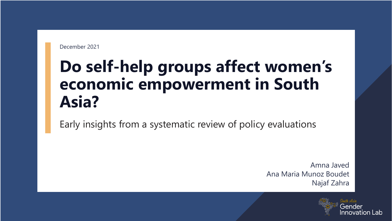December 2021

### **Do self-help groups affect women's economic empowerment in South Asia?**

Early insights from a systematic review of policy evaluations

Amna Javed Ana Maria Munoz Boudet Najaf Zahra

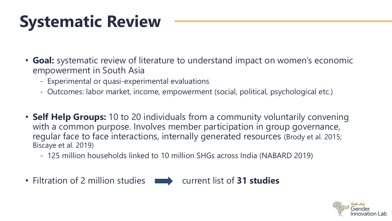## **Systematic Review**

- **Goal:** systematic review of literature to understand impact on women's economic empowerment in South Asia
	- Experimental or quasi-experimental evaluations
	- Outcomes: labor market, income, empowerment (social, political, psychological etc.)
- **Self Help Groups:** 10 to 20 individuals from a community voluntarily convening with a common purpose. Involves member participation in group governance, regular face to face interactions, internally generated resources (Brody et al. 2015; Biscaye et al. 2019)
	- 125 million households linked to 10 million SHGs across India (NABARD 2019)
- Filtration of 2 million studies **notingly current list of 31 studies**

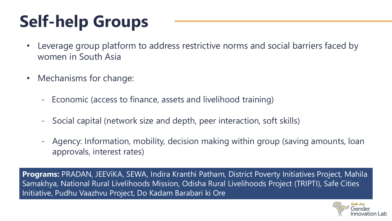# **Self-help Groups**

- Leverage group platform to address restrictive norms and social barriers faced by women in South Asia
- Mechanisms for change:
	- Economic (access to finance, assets and livelihood training)
	- Social capital (network size and depth, peer interaction, soft skills)
	- Agency: Information, mobility, decision making within group (saving amounts, loan approvals, interest rates)

**Programs:** PRADAN, JEEViKA, SEWA, Indira Kranthi Patham, District Poverty Initiatives Project, Mahila Samakhya, National Rural Livelihoods Mission, Odisha Rural Livelihoods Project (TRIPTI), Safe Cities Initiative, Pudhu Vaazhvu Project, Do Kadam Barabari ki Ore

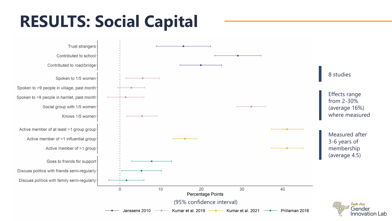### **RESULTS: Social Capital**

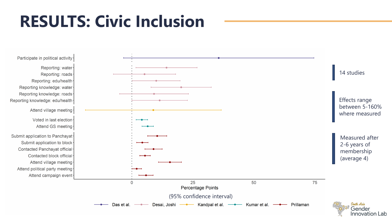### **RESULTS: Civic Inclusion**

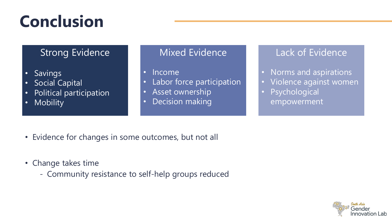### **Conclusion**

### Strong Evidence

- Savings
- Social Capital
- Political participation
- Mobility

#### Mixed Evidence

• Income

- Labor force participation
- Asset ownership
- Decision making

### Lack of Evidence

- Norms and aspirations
- Violence against women
- **Psychological** empowerment

- Evidence for changes in some outcomes, but not all
- Change takes time
	- Community resistance to self-help groups reduced